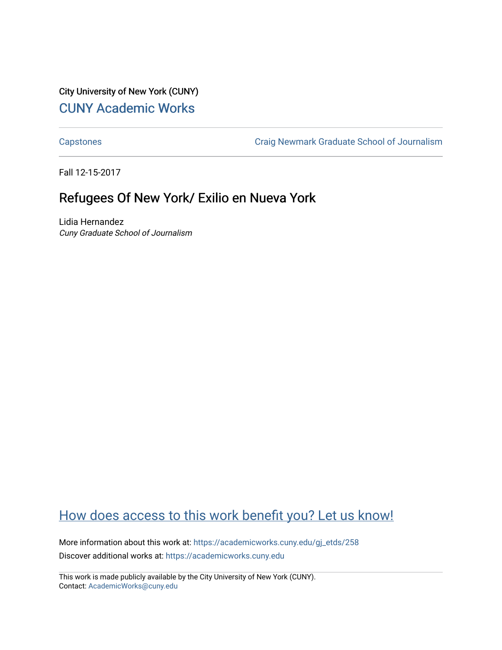City University of New York (CUNY) [CUNY Academic Works](https://academicworks.cuny.edu/) 

[Capstones](https://academicworks.cuny.edu/gj_etds) [Craig Newmark Graduate School of Journalism](https://academicworks.cuny.edu/gj) 

Fall 12-15-2017

# Refugees Of New York/ Exilio en Nueva York

Lidia Hernandez Cuny Graduate School of Journalism

# [How does access to this work benefit you? Let us know!](http://ols.cuny.edu/academicworks/?ref=https://academicworks.cuny.edu/gj_etds/258)

More information about this work at: [https://academicworks.cuny.edu/gj\\_etds/258](https://academicworks.cuny.edu/gj_etds/258)  Discover additional works at: [https://academicworks.cuny.edu](https://academicworks.cuny.edu/?)

This work is made publicly available by the City University of New York (CUNY). Contact: [AcademicWorks@cuny.edu](mailto:AcademicWorks@cuny.edu)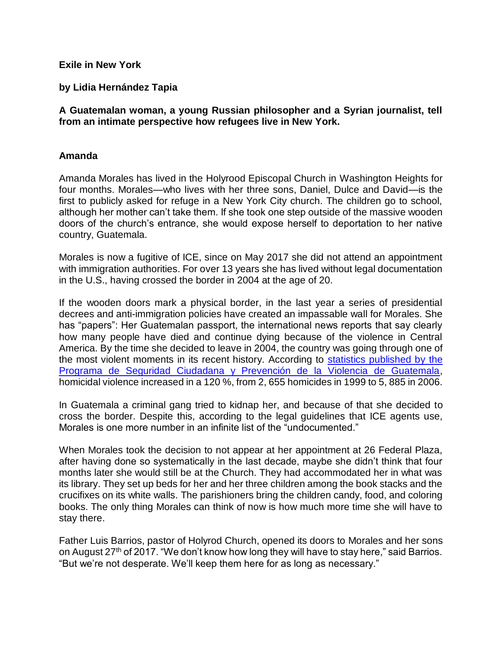#### **Exile in New York**

### **by Lidia Hernández Tapia**

### **A Guatemalan woman, a young Russian philosopher and a Syrian journalist, tell from an intimate perspective how refugees live in New York.**

#### **Amanda**

Amanda Morales has lived in the Holyrood Episcopal Church in Washington Heights for four months. Morales—who lives with her three sons, Daniel, Dulce and David—is the first to publicly asked for refuge in a New York City church. The children go to school, although her mother can't take them. If she took one step outside of the massive wooden doors of the church's entrance, she would expose herself to deportation to her native country, Guatemala.

Morales is now a fugitive of ICE, since on May 2017 she did not attend an appointment with immigration authorities. For over 13 years she has lived without legal documentation in the U.S., having crossed the border in 2004 at the age of 20.

If the wooden doors mark a physical border, in the last year a series of presidential decrees and anti-immigration policies have created an impassable wall for Morales. She has "papers": Her Guatemalan passport, the international news reports that say clearly how many people have died and continue dying because of the violence in Central America. By the time she decided to leave in 2004, the country was going through one of the most violent moments in its recent history. According to [statistics published by](http://www.who.int/violence_injury_prevention/violence/national_activities/informe_estadistico_violencia_guatemala.pdf) the [Programa de Seguridad Ciudadana y Prevención de la Violencia de Guatemala,](http://www.who.int/violence_injury_prevention/violence/national_activities/informe_estadistico_violencia_guatemala.pdf) homicidal violence increased in a 120 %, from 2, 655 homicides in 1999 to 5, 885 in 2006.

In Guatemala a criminal gang tried to kidnap her, and because of that she decided to cross the border. Despite this, according to the legal guidelines that ICE agents use, Morales is one more number in an infinite list of the "undocumented."

When Morales took the decision to not appear at her appointment at 26 Federal Plaza, after having done so systematically in the last decade, maybe she didn't think that four months later she would still be at the Church. They had accommodated her in what was its library. They set up beds for her and her three children among the book stacks and the crucifixes on its white walls. The parishioners bring the children candy, food, and coloring books. The only thing Morales can think of now is how much more time she will have to stay there.

Father Luis Barrios, pastor of Holyrod Church, opened its doors to Morales and her sons on August 27<sup>th</sup> of 2017. "We don't know how long they will have to stay here," said Barrios. "But we're not desperate. We'll keep them here for as long as necessary."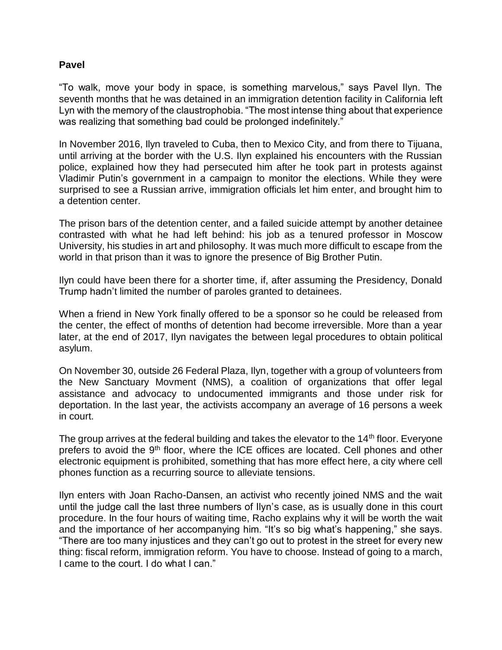#### **Pavel**

"To walk, move your body in space, is something marvelous," says Pavel Ilyn. The seventh months that he was detained in an immigration detention facility in California left Lyn with the memory of the claustrophobia. "The most intense thing about that experience was realizing that something bad could be prolonged indefinitely."

In November 2016, Ilyn traveled to Cuba, then to Mexico City, and from there to Tijuana, until arriving at the border with the U.S. Ilyn explained his encounters with the Russian police, explained how they had persecuted him after he took part in protests against Vladimir Putin's government in a campaign to monitor the elections. While they were surprised to see a Russian arrive, immigration officials let him enter, and brought him to a detention center.

The prison bars of the detention center, and a failed suicide attempt by another detainee contrasted with what he had left behind: his job as a tenured professor in Moscow University, his studies in art and philosophy. It was much more difficult to escape from the world in that prison than it was to ignore the presence of Big Brother Putin.

Ilyn could have been there for a shorter time, if, after assuming the Presidency, Donald Trump hadn't limited the number of paroles granted to detainees.

When a friend in New York finally offered to be a sponsor so he could be released from the center, the effect of months of detention had become irreversible. More than a year later, at the end of 2017, Ilyn navigates the between legal procedures to obtain political asylum.

On November 30, outside 26 Federal Plaza, Ilyn, together with a group of volunteers from the New Sanctuary Movment (NMS), a coalition of organizations that offer legal assistance and advocacy to undocumented immigrants and those under risk for deportation. In the last year, the activists accompany an average of 16 persons a week in court.

The group arrives at the federal building and takes the elevator to the  $14<sup>th</sup>$  floor. Everyone prefers to avoid the 9<sup>th</sup> floor, where the ICE offices are located. Cell phones and other electronic equipment is prohibited, something that has more effect here, a city where cell phones function as a recurring source to alleviate tensions.

Ilyn enters with Joan Racho-Dansen, an activist who recently joined NMS and the wait until the judge call the last three numbers of Ilyn's case, as is usually done in this court procedure. In the four hours of waiting time, Racho explains why it will be worth the wait and the importance of her accompanying him. "It's so big what's happening," she says. "There are too many injustices and they can't go out to protest in the street for every new thing: fiscal reform, immigration reform. You have to choose. Instead of going to a march, I came to the court. I do what I can."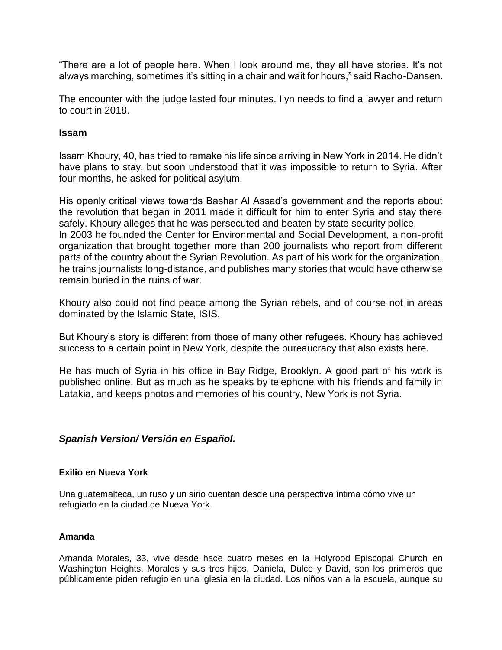"There are a lot of people here. When I look around me, they all have stories. It's not always marching, sometimes it's sitting in a chair and wait for hours," said Racho-Dansen.

The encounter with the judge lasted four minutes. Ilyn needs to find a lawyer and return to court in 2018.

#### **Issam**

Issam Khoury, 40, has tried to remake his life since arriving in New York in 2014. He didn't have plans to stay, but soon understood that it was impossible to return to Syria. After four months, he asked for political asylum.

His openly critical views towards Bashar Al Assad's government and the reports about the revolution that began in 2011 made it difficult for him to enter Syria and stay there safely. Khoury alleges that he was persecuted and beaten by state security police. In 2003 he founded the Center for Environmental and Social Development, a non-profit organization that brought together more than 200 journalists who report from different parts of the country about the Syrian Revolution. As part of his work for the organization, he trains journalists long-distance, and publishes many stories that would have otherwise remain buried in the ruins of war.

Khoury also could not find peace among the Syrian rebels, and of course not in areas dominated by the Islamic State, ISIS.

But Khoury's story is different from those of many other refugees. Khoury has achieved success to a certain point in New York, despite the bureaucracy that also exists here.

He has much of Syria in his office in Bay Ridge, Brooklyn. A good part of his work is published online. But as much as he speaks by telephone with his friends and family in Latakia, and keeps photos and memories of his country, New York is not Syria.

### *Spanish Version/ Versión en Español.*

#### **Exilio en Nueva York**

Una guatemalteca, un ruso y un sirio cuentan desde una perspectiva íntima cómo vive un refugiado en la ciudad de Nueva York.

#### **Amanda**

Amanda Morales, 33, vive desde hace cuatro meses en la Holyrood Episcopal Church en Washington Heights. Morales y sus tres hijos, Daniela, Dulce y David, son los primeros que públicamente piden refugio en una iglesia en la ciudad. Los niños van a la escuela, aunque su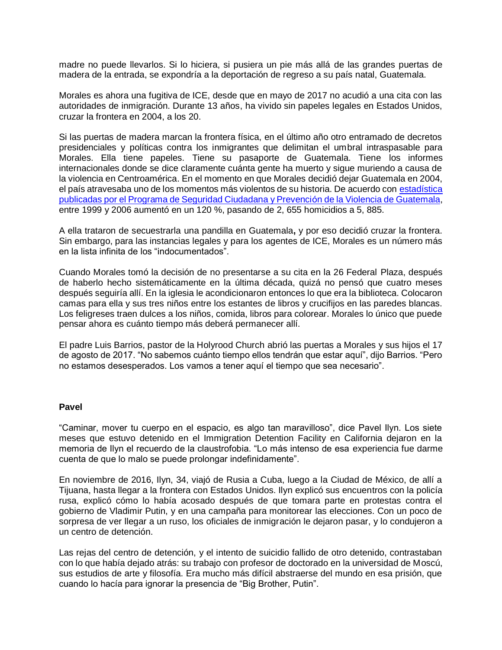madre no puede llevarlos. Si lo hiciera, si pusiera un pie más allá de las grandes puertas de madera de la entrada, se expondría a la deportación de regreso a su país natal, Guatemala.

Morales es ahora una fugitiva de ICE, desde que en mayo de 2017 no acudió a una cita con las autoridades de inmigración. Durante 13 años, ha vivido sin papeles legales en Estados Unidos, cruzar la frontera en 2004, a los 20.

Si las puertas de madera marcan la frontera física, en el último año otro entramado de decretos presidenciales y políticas contra los inmigrantes que delimitan el umbral intraspasable para Morales. Ella tiene papeles. Tiene su pasaporte de Guatemala. Tiene los informes internacionales donde se dice claramente cuánta gente ha muerto y sigue muriendo a causa de la violencia en Centroamérica. En el momento en que Morales decidió dejar Guatemala en 2004, el país atravesaba uno de los momentos más violentos de su historia. De acuerdo con [estadística](http://www.who.int/violence_injury_prevention/violence/national_activities/informe_estadistico_violencia_guatemala.pdf)  [publicadas por el Programa de Seguridad Ciudadana y Prevención de la Violencia de Guatemala,](http://www.who.int/violence_injury_prevention/violence/national_activities/informe_estadistico_violencia_guatemala.pdf) entre 1999 y 2006 aumentó en un 120 %, pasando de 2, 655 homicidios a 5, 885.

A ella trataron de secuestrarla una pandilla en Guatemala**,** y por eso decidió cruzar la frontera. Sin embargo, para las instancias legales y para los agentes de ICE, Morales es un número más en la lista infinita de los "indocumentados".

Cuando Morales tomó la decisión de no presentarse a su cita en la 26 Federal Plaza, después de haberlo hecho sistemáticamente en la última década, quizá no pensó que cuatro meses después seguiría allí. En la iglesia le acondicionaron entonces lo que era la biblioteca. Colocaron camas para ella y sus tres niños entre los estantes de libros y crucifijos en las paredes blancas. Los feligreses traen dulces a los niños, comida, libros para colorear. Morales lo único que puede pensar ahora es cuánto tiempo más deberá permanecer allí.

El padre Luis Barrios, pastor de la Holyrood Church abrió las puertas a Morales y sus hijos el 17 de agosto de 2017. "No sabemos cuánto tiempo ellos tendrán que estar aquí", dijo Barrios. "Pero no estamos desesperados. Los vamos a tener aquí el tiempo que sea necesario".

#### **Pavel**

"Caminar, mover tu cuerpo en el espacio, es algo tan maravilloso", dice Pavel Ilyn. Los siete meses que estuvo detenido en el Immigration Detention Facility en California dejaron en la memoria de Ilyn el recuerdo de la claustrofobia. "Lo más intenso de esa experiencia fue darme cuenta de que lo malo se puede prolongar indefinidamente".

En noviembre de 2016, Ilyn, 34, viajó de Rusia a Cuba, luego a la Ciudad de México, de allí a Tijuana, hasta llegar a la frontera con Estados Unidos. Ilyn explicó sus encuentros con la policía rusa, explicó cómo lo había acosado después de que tomara parte en protestas contra el gobierno de Vladimir Putin, y en una campaña para monitorear las elecciones. Con un poco de sorpresa de ver llegar a un ruso, los oficiales de inmigración le dejaron pasar, y lo condujeron a un centro de detención.

Las rejas del centro de detención, y el intento de suicidio fallido de otro detenido, contrastaban con lo que había dejado atrás: su trabajo con profesor de doctorado en la universidad de Moscú, sus estudios de arte y filosofía. Era mucho más difícil abstraerse del mundo en esa prisión, que cuando lo hacía para ignorar la presencia de "Big Brother, Putin".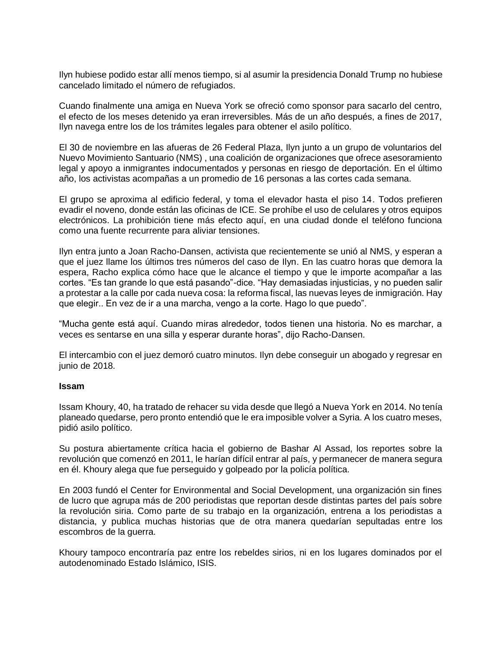Ilyn hubiese podido estar allí menos tiempo, si al asumir la presidencia Donald Trump no hubiese cancelado limitado el número de refugiados.

Cuando finalmente una amiga en Nueva York se ofreció como sponsor para sacarlo del centro, el efecto de los meses detenido ya eran irreversibles. Más de un año después, a fines de 2017, Ilyn navega entre los de los trámites legales para obtener el asilo político.

El 30 de noviembre en las afueras de 26 Federal Plaza, Ilyn junto a un grupo de voluntarios del Nuevo Movimiento Santuario (NMS) , una coalición de organizaciones que ofrece asesoramiento legal y apoyo a inmigrantes indocumentados y personas en riesgo de deportación. En el último año, los activistas acompañas a un promedio de 16 personas a las cortes cada semana.

El grupo se aproxima al edificio federal, y toma el elevador hasta el piso 14. Todos prefieren evadir el noveno, donde están las oficinas de ICE. Se prohíbe el uso de celulares y otros equipos electrónicos. La prohibición tiene más efecto aquí, en una ciudad donde el teléfono funciona como una fuente recurrente para aliviar tensiones.

Ilyn entra junto a Joan Racho-Dansen, activista que recientemente se unió al NMS, y esperan a que el juez llame los últimos tres números del caso de Ilyn. En las cuatro horas que demora la espera, Racho explica cómo hace que le alcance el tiempo y que le importe acompañar a las cortes. "Es tan grande lo que está pasando"-dice. "Hay demasiadas injusticias, y no pueden salir a protestar a la calle por cada nueva cosa: la reforma fiscal, las nuevas leyes de inmigración. Hay que elegir.. En vez de ir a una marcha, vengo a la corte. Hago lo que puedo".

"Mucha gente está aquí. Cuando miras alrededor, todos tienen una historia. No es marchar, a veces es sentarse en una silla y esperar durante horas", dijo Racho-Dansen.

El intercambio con el juez demoró cuatro minutos. Ilyn debe conseguir un abogado y regresar en junio de 2018.

#### **Issam**

Issam Khoury, 40, ha tratado de rehacer su vida desde que llegó a Nueva York en 2014. No tenía planeado quedarse, pero pronto entendió que le era imposible volver a Syria. A los cuatro meses, pidió asilo político.

Su postura abiertamente crítica hacia el gobierno de Bashar Al Assad, los reportes sobre la revolución que comenzó en 2011, le harían difícil entrar al país, y permanecer de manera segura en él. Khoury alega que fue perseguido y golpeado por la policía política.

En 2003 fundó el Center for Environmental and Social Development, una organización sin fines de lucro que agrupa más de 200 periodistas que reportan desde distintas partes del país sobre la revolución siria. Como parte de su trabajo en la organización, entrena a los periodistas a distancia, y publica muchas historias que de otra manera quedarían sepultadas entre los escombros de la guerra.

Khoury tampoco encontraría paz entre los rebeldes sirios, ni en los lugares dominados por el autodenominado Estado Islámico, ISIS.